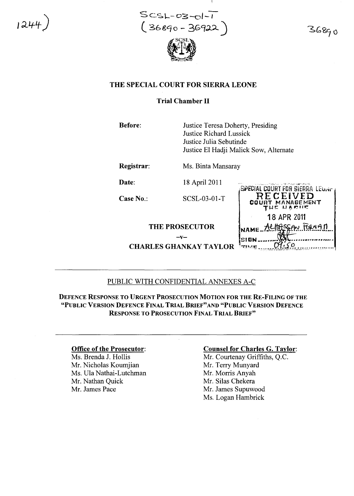1244) SCSL-03-ol-1<br>
( 36890 - 36922

36890

# THE SPECIAL COURT FOR SIERRA LEONE

### Trial Chamber II

Before:

Justice Teresa Doherty, Presiding Justice Richard Lussick Justice Julia Sebutinde Justice El Hadji Malick Sow, Alternate

Registrar:

Ms. Binta Mansaray

Date:

Case No.:

18 April 2011

SCSL-03-01-T

## THE PROSECUTOR

 $-v-$ 

**CHARLES GHANKAY TAYLOR** 



# PUBLIC WITH CONFIDENTIAL ANNEXES A-C

DEFENCE RESPONSE TO URGENT PROSECUTION MOTION FOR THE RE-FILING OF THE "PUBLIC VERSION DEFENCE FINAL TRIAL BRIEF"AND "PUBLIC VERSION DEFENCE RESPONSE TO PROSECUTION FINAL TRIAL BRIEF"

### Office of the Prosecutor:

Ms. Brenda 1. Hollis Mr. Nicholas Koumjian Ms. Ula Nathai-Lutchman Mr. Nathan Quick Mr. James Pace

### Counsel for Charles G. Taylor:

Mr. Courtenay Griffiths, Q.C. Mr. Terry Munyard Mr. Morris Anyah Mr. Silas Chekera Mr. James Supuwood Ms. Logan Hambrick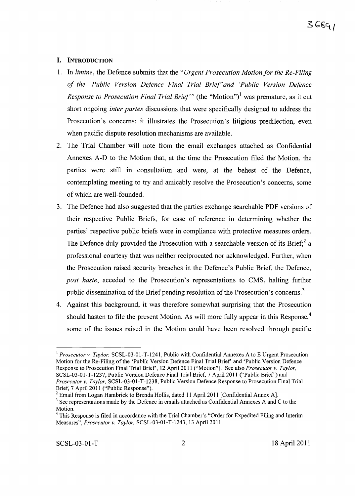### **I. INTRODUCTION**

- 1. In *limine,* the Defence submits that the *"Urgent Prosecution Motion/or the Re-Filing of the 'Public Version Defence Final Trial Brief'and 'Public Version Defence Response to Prosecution Final Trial Brief'"* (the "Motion")<sup>1</sup> was premature, as it cut short ongoing *inter partes* discussions that were specifically designed to address the Prosecution's concerns; it illustrates the Prosecution's litigious predilection, even when pacific dispute resolution mechanisms are available.
- 2. The Trial Chamber will note from the email exchanges attached as Confidential Annexes A-D to the Motion that, at the time the Prosecution filed the Motion, the parties were still in consultation and were, at the behest of the Defence, contemplating meeting to try and amicably resolve the Prosecution's concerns, some of which are well-founded.
- 3. The Defence had also suggested that the parties exchange searchable PDF versions of their respective Public Briefs, for ease of reference in determining whether the parties' respective public briefs were in compliance with protective measures orders. The Defence duly provided the Prosecution with a searchable version of its Brief;  $2a$ professional courtesy that was neither reciprocated nor acknowledged. Further, when the Prosecution raised security breaches in the Defence's Public Brief, the Defence, *post haste,* acceded to the Prosecution's representations to CMS, halting further public dissemination of the Brief pending resolution of the Prosecution's concerns.<sup>3</sup>
- 4. Against this background, it was therefore somewhat surprising that the Prosecution should hasten to file the present Motion. As will more fully appear in this Response, $<sup>4</sup>$ </sup> some of the issues raised in the Motion could have been resolved through pacific

<sup>&</sup>lt;sup>1</sup> Prosecutor v. Taylor, SCSL-03-01-T-1241, Public with Confidential Annexes A to E Urgent Prosecution Motion for the Re-Filing of the 'Public Version Defence Final Trial Brief' and 'Public Version Defence Response to Prosecution Final Trial Brief, 12 April 20 11 ("Motion"). See also *Prosecutor* v. *Taylor,* SCSL-03-01-*T-1237,* Public Version Defence Final Trial Brief, 7 April 2011 ("Public Brief') and *Prosecutor* v. *Taylor,* SCSL-03-01-T-1238, Public Version Defence Response to Prosecution Final Trial Brief, 7 April 2011 ("Public Response").

 $2$  Email from Logan Hambrick to Brenda Hollis, dated 11 April 2011 [Confidential Annex A].

<sup>&</sup>lt;sup>3</sup> See representations made by the Defence in emails attached as Confidential Annexes A and C to the Motion.

<sup>4</sup> This Response is filed in accordance with the Trial Chamber's "Order for Expedited Filing and Interim Measures", *Prosecutor* v. *Taylor,* SCSL-03-01-T-1243, 13 April 2011.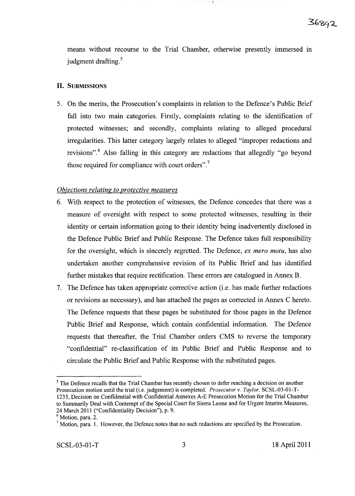means without recourse to the Trial Chamber, otherwise presently immersed in judgment drafting.<sup>5</sup>

١ŗ

# **II.** SUBMISSIONS

5. On the merits, the Prosecution's complaints in relation to the Defence's Public Brief fall into two main categories. Firstly, complaints relating to the identification of protected witnesses; and secondly, complaints relating to alleged procedural irregularities. This latter category largely relates to alleged "improper redactions and revisions".<sup>6</sup> Also falling in this category are redactions that allegedly "go beyond those required for compliance with court orders". $\frac{7}{1}$ 

## *Objections relating to protective measures*

- 6. With respect to the protection of witnesses, the Defence concedes that there was a measure of oversight with respect to some protected witnesses, resulting in their identity or certain information going to their identity being inadvertently disclosed in the Defence Public Brief and Public Response. The Defence takes full responsibility for the oversight, which is sincerely regretted. The Defence, *ex mero motu,* has also undertaken another comprehensive revision of its Public Brief and has identified further mistakes that require rectification. These errors are catalogued in Annex B.
- 7. The Defence has taken appropriate corrective action (i.e. has made further redactions or revisions as necessary), and has attached the pages as corrected in Annex C hereto. The Defence requests that these pages be substituted for those pages in the Defence Public Brief and Response, which contain confidential information. The Defence requests that thereafter, the Trial Chamber orders CMS to reverse the temporary "confidential" re-classification of its Public Brief and Public Response and to circulate the Public Brief and Public Response with the substituted pages.

<sup>&</sup>lt;sup>5</sup> The Defence recalls that the Trial Chamber has recently chosen to defer reaching a decision on another Prosecution motion until the trial (i.e. judgement) is completed. *Prosecutor* v. *Taylor*, SCSL-03-01-T-1235, Decision on Confidential with Confidential Annexes A-E Prosecution Motion for the Trial Chamber to Summarily Deal with Contempt of the Special Court for Sierra Leone and for Urgent Interim Measures, 24 March 2011 ("Confidentiality Decision"), p. 9.

<sup>&</sup>lt;sup>6</sup> Motion, para. 2.

 $<sup>7</sup>$  Motion, para. 1. However, the Defence notes that no such redactions are specified by the Prosecution.</sup>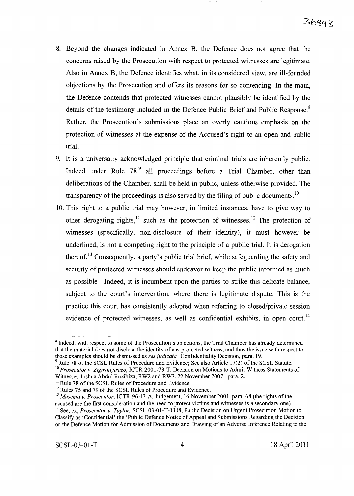- 8. Beyond the changes indicated in Annex B, the Defence does not agree that the concerns raised by the Prosecution with respect to protected witnesses are legitimate. Also in Annex B, the Defence identifies what, in its considered view, are ill-founded objections by the Prosecution and offers its reasons for so contending. In the main, the Defence contends that protected witnesses cannot plausibly be identified by the details of the testimony included in the Defence Public Brief and Public Response.<sup>8</sup> Rather, the Prosecution's submissions place an overly cautious emphasis on the protection of witnesses at the expense of the Accused's right to an open and public trial.
- 9. It is a universally acknowledged principle that criminal trials are inherently public. Indeed under Rule  $78<sup>9</sup>$  all proceedings before a Trial Chamber, other than deliberations of the Chamber, shall be held in public, unless otherwise provided. The transparency of the proceedings is also served by the filing of public documents.<sup>10</sup>
- 10. This right to a public trial may however, in limited instances, have to give way to other derogating rights,  $\frac{11}{11}$  such as the protection of witnesses.<sup>12</sup> The protection of witnesses (specifically, non-disclosure of their identity), it must however be underlined, is not a competing right to the principle of a public trial. It is derogation thereof.<sup>13</sup> Consequently, a party's public trial brief, while safeguarding the safety and security of protected witnesses should endeavor to keep the public informed as much as possible. Indeed, it is incumbent upon the parties to strike this delicate balance, subject to the court's intervention, where there is legitimate dispute. This is the practice this court has consistently adopted when referring to closed/private session evidence of protected witnesses, as well as confidential exhibits, in open court.<sup>14</sup>

 $9$  Rule 78 of the SCSL Rules of Procedure and Evidence; See also Article 17(2) of the SCSL Statute. <sup>10</sup> Prosecutor v. Zigiranyirazo, ICTR-2001-73-T, Decision on Motions to Admit Witness Statements of Witnesses Joshua Abdul Ruzibiza, RW2 and RW3, 22 November 2007, para. 2.

<sup>&</sup>lt;sup>8</sup> Indeed, with respect to some of the Prosecution's objections, the Trial Chamber has already determined that the material does not disclose the identity of any protected witness, and thus the issue with respect to those examples should be dismissed as *resjudicata.* Confidentiality Decision, para. 19.

<sup>&</sup>lt;sup>11</sup> Rule 78 of the SCSL Rules of Procedure and Evidence

<sup>&</sup>lt;sup>12</sup> Rules 75 and 79 of the SCSL Rules of Procedure and Evidence.

*<sup>13</sup> Musema* v. *Prosecutor,* ICTR-96-13-A, Judgement, 16 November 2001, para. 68 (the rights ofthe accused are the first consideration and the need to protect victims and witnesses is a secondary one). <sup>14</sup> See, ex, *Prosecutor* v. *Taylor,* SCSL-03-0l-T-1148, Public Decision on Urgent Prosecution Motion to Classify as 'Confidential' the 'Public Defence Notice of Appeal and Submissions Regarding the Decision on the Defence Motion for Admission of Documents and Drawing of an Adverse Inference Relating to the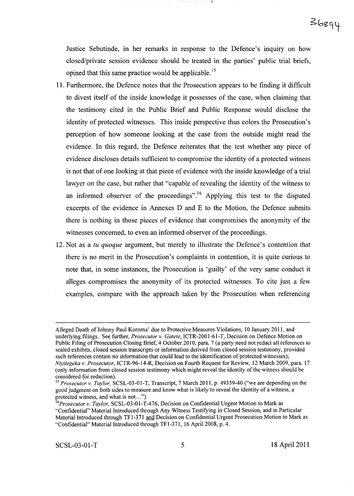Justice Sebutinde, in her remarks in response to the Defence's inquiry on how closed/private session evidence should be treated in the parties' public trial briefs, opined that this same practice would be applicable.<sup>15</sup>

- 11. Furthermore, the Defence notes that the Prosecution appears to be finding it difficult to divest itself of the inside knowledge it possesses of the case, when claiming that the testimony cited in the Public Brief and Public Response would disclose the identity of protected witnesses. This inside perspective thus colors the Prosecution's perception of how someone looking at the case from the outside might read the evidence. **In** this regard, the Defence reiterates that the test whether any piece of evidence discloses details sufficient to compromise the identity of a protected witness is not that of one looking at that piece of evidence with the inside knowledge of a trial lawyer on the case, but rather that "capable of revealing the identity of the witness to an informed observer of the proceedings".<sup>16</sup> Applying this test to the disputed excerpts of the evidence in Annexes D and E to the Motion, the Defence submits there is nothing in those pieces of evidence that compromises the anonymity of the witnesses concerned, to even an informed observer of the proceedings.
- 12. Not as a *tu quoque* argument, but merely to illustrate the Defence's contention that there is no merit in the Prosecution's complaints in contention, it is quite curious to note that, in some instances, the Prosecution is 'guilty' of the very same conduct it alleges compromises the anonymity of its protected witnesses. To cite just a few examples, compare with the approach taken by the Prosecution when referencing

Alleged Death of Johnny Paul Koroma' due to Protective Measures Violations, 10 January 2011, and underlying filings. See further, *Prosecutor v. Gatete,* ICTR-200l-6l-T, Decision on Defence Motion on Public Filing of Prosecution Closing Brief, 4 October 2010, para. 7 (a party need not redact all references to sealed exhibits, closed session transcripts or information derived from closed session testimony, provided such references contain no information that could lead to the identification of protected witnesses); *Niyitegeka v. Prosecutor,* ICTR-96-l4-R, Decision on Fourth Request for Review, 12 March 2009, para. 17 (only information from closed session testimony which might reveal the identity ofthe witness should be considered for redaction).

*<sup>15</sup> Prosecutor v. Taylor,* SCSL-03-0l-T, Transcript, 7 March 2011, p. 49339-40 ("we are depending on the good judgment on both sides to measure and know what is likely to reveal the identity of a witness, a protected witness, and what is not. .. ").

<sup>&</sup>lt;sup>16</sup>Prosecutor v. Taylor, SCSL-03-01-T-476, Decision on Confidential Urgent Motion to Mark as "Confidential" Material Introduced through Any Witness Testifying in Closed Session, and in Particular Material Introduced through TF1-371 and Decision on Confidential Urgent Prosecution Motion to Mark as "Confidential" Material Introduced through TFl-37l, 16 April 2008, p. 4.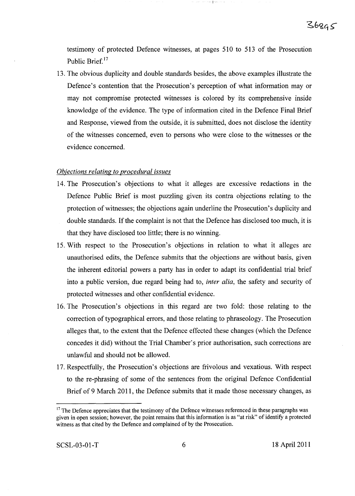testimony of protected Defence witnesses, at pages 510 to 513 of the Prosecution Public Brief.17

 $\psi$  we also

13. The obvious duplicity and double standards besides, the above examples illustrate the Defence's contention that the Prosecution's perception of what information mayor may not compromise protected witnesses is colored by its comprehensive inside knowledge of the evidence. The type of information cited in the Defence Final Brief and Response, viewed from the outside, it is submitted, does not disclose the identity of the witnesses concerned, even to persons who were close to the witnesses or the evidence concerned.

### *Objections relating to procedural issues*

- 14. The Prosecution's objections to what it alleges are excessive redactions in the Defence Public Brief is most puzzling given its contra objections relating to the protection of witnesses; the objections again underline the Prosecution's duplicity and double standards. If the complaint is not that the Defence has disclosed too much, it is that they have disclosed too little; there is no winning.
- 15. With respect to the Prosecution's objections in relation to what it alleges are unauthorised edits, the Defence submits that the objections are without basis, given the inherent editorial powers a party has in order to adapt its confidential trial brief into a public version, due regard being had to, *inter alia,* the safety and security of protected witnesses and other confidential evidence.
- 16. The Prosecution's objections in this regard are two fold: those relating to the correction of typographical errors, and those relating to phraseology. The Prosecution alleges that, to the extent that the Defence effected these changes (which the Defence concedes it did) without the Trial Chamber's prior authorisation, such corrections are unlawful and should not be allowed.
- 17. Respectfully, the Prosecution's objections are frivolous and vexatious. With respect to the re-phrasing of some of the sentences from the original Defence Confidential Brief of 9 March **2011,** the Defence submits that it made those necessary changes, as

 $17$  The Defence appreciates that the testimony of the Defence witnesses referenced in these paragraphs was given in open session; however, the point remains that this information is as "at risk" of identify a protected witness as that cited by the Defence and complained of by the Prosecution.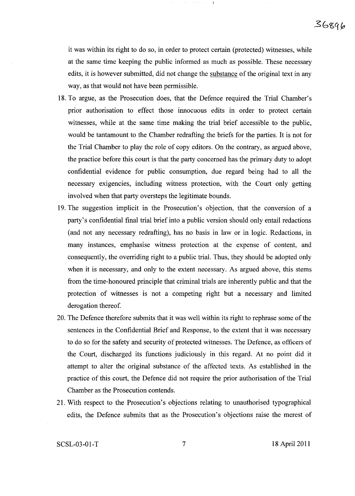it was within its right to do so, in order to protect certain (protected) witnesses, while at the same time keeping the public informed as much as possible. These necessary edits, it is however submitted, did not change the substance of the original text in any way, as that would not have been permissible.

- 18. To argue, as the Prosecution does, that the Defence required the Trial Chamber's prior authorisation to effect those innocuous edits in order to protect certain witnesses, while at the same time making the trial brief accessible to the public, would be tantamount to the Chamber redrafting the briefs for the parties. It is not for the Trial Chamber to play the role of copy editors. On the contrary, as argued above, the practice before this court is that the party concerned has the primary duty to adopt confidential evidence for public consumption, due regard being had to all the necessary exigencies, including witness protection, with the Court only getting involved when that party oversteps the legitimate bounds.
- 19. The suggestion implicit in the Prosecution's objection, that the conversion of a party's confidential final trial brief into a public version should only entail redactions (and not any necessary redrafting), has no basis in law or in logic. Redactions, in many instances, emphasise witness protection at the expense of content, and consequently, the overriding right to a public trial. Thus, they should be adopted only when it is necessary, and only to the extent necessary. As argued above, this stems from the time-honoured principle that criminal trials are inherently public and that the protection of witnesses is not a competing right but a necessary and limited derogation thereof.
- 20. The Defence therefore submits that it was well within its right to rephrase some of the sentences in the Confidential Brief and Response, to the extent that it was necessary to do so for the safety and security of protected witnesses. The Defence, as officers of the Court, discharged its functions judiciously in this regard. At no point did it attempt to alter the original substance of the affected texts. As established in the practice of this court, the Defence did not require the prior authorisation of the Trial Chamber as the Prosecution contends.
- 21. With respect to the Prosecution's objections relating to unauthorised typographical edits, the Defence submits that as the Prosecution's objections raise the merest of

SCSL-03-01-T 18 April 2011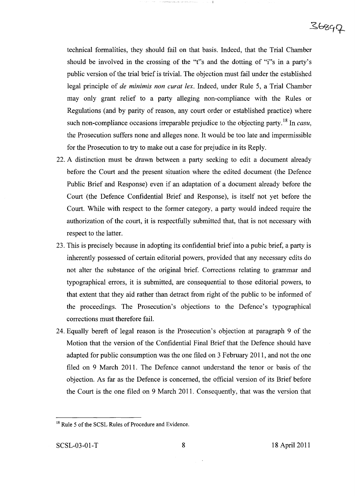technical formalities, they should fail on that basis. Indeed, that the Trial Chamber should be involved in the crossing of the "t"s and the dotting of "i"s in a party's public version of the trial brief is trivial. The objection must fail under the established legal principle of *de minimis non curat lex.* Indeed, under Rule 5, a Trial Chamber may only grant relief to a party alleging non-compliance with the Rules or Regulations (and by parity of reason, any court order or established practice) where such non-compliance occasions irreparable prejudice to the objecting party. <sup>18</sup> In *casu,* the Prosecution suffers none and alleges none. It would be too late and impermissible for the Prosecution to try to make out a case for prejudice in its Reply.

- 22. A distinction must be drawn between a party seeking to edit a document already before the Court and the present situation where the edited document (the Defence Public Brief and Response) even if an adaptation of a document already before the Court (the Defence Confidential Brief and Response), is itself not yet before the Court. While with respect to the former category, a party would indeed require the authorization of the court, it is respectfully submitted that, that is not necessary with respect to the latter.
- 23. This is precisely because in adopting its confidential brief into a pubic brief, a party is inherently possessed of certain editorial powers, provided that any necessary edits do not alter the substance of the original brief. Corrections relating to grammar and typographical errors, it is submitted, are consequential to those editorial powers, to that extent that they aid rather than detract from right of the public to be informed of the proceedings. The Prosecution's objections to the Defence's typographical corrections must therefore fail.
- 24. Equally bereft of legal reason is the Prosecution's objection at paragraph 9 of the Motion that the version of the Confidential Final Brief that the Defence should have adapted for public consumption was the one filed on 3 February 2011, and not the one filed on 9 March 2011. The Defence cannot understand the tenor or basis of the objection. As far as the Defence is concerned, the official version of its Brief before the Court is the one filed on 9 March 2011. Consequently, that was the version that

<sup>&</sup>lt;sup>18</sup> Rule 5 of the SCSL Rules of Procedure and Evidence.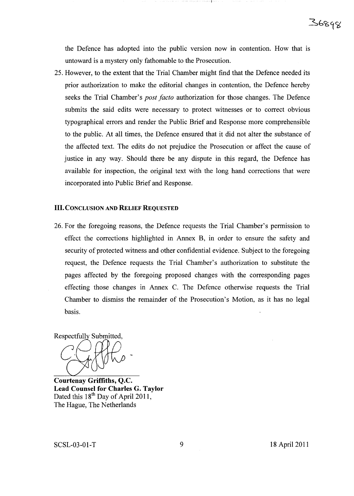the Defence has adopted into the public version now in contention. How that is untoward is a mystery only fathomable to the Prosecution.

25. However, to the extent that the Trial Chamber might find that the Defence needed its prior authorization to make the editorial changes in contention, the Defence hereby seeks the Trial Chamber's *post facto* authorization for those changes. The Defence submits the said edits were necessary to protect witnesses or to correct obvious typographical errors and render the Public Brief and Response more comprehensible to the public. At all times, the Defence ensured that it did not alter the substance of the affected text. The edits do not prejudice the Prosecution or affect the cause of justice in any way. Should there be any dispute in this regard, the Defence has available for inspection, the original text with the long hand corrections that were incorporated into Public Brief and Response.

### III. CONCLUSION AND RELIEF REQUESTED

26. For the foregoing reasons, the Defence requests the Trial Chamber's permission to effect the corrections highlighted in Annex B, in order to ensure the safety and security of protected witness and other confidential evidence. Subject to the foregoing request, the Defence requests the Trial Chamber's authorization to substitute the pages affected by the foregoing proposed changes with the corresponding pages effecting those changes in Annex C. The Defence otherwise requests the Trial Chamber to dismiss the remainder of the Prosecution's Motion, as it has no legal basis.

Respectfully Submitted,

Courtenay Griffiths, Q.c. Lead Counsel for Charles G. Taylor Dated this  $18^{th}$  Day of April 2011, The Hague, The Netherlands

SCSL-03-01-T 9 18 April 2011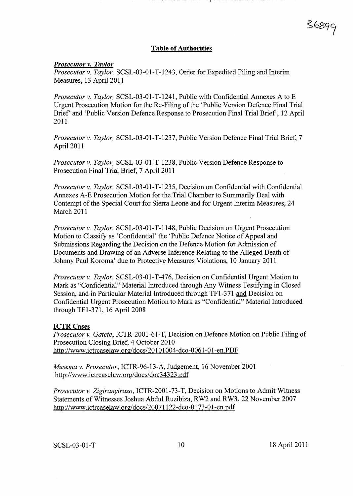### Table of Authorities

#### *Prosecutor v. Taylor*

*Prosecutor* v. *Taylor,* SCSL-03-01-T-1243, Order for Expedited Filing and Interim Measures, 13 April 2011

*Prosecutor* v. *Taylor,* SCSL-03-01-T-1241, Public with Confidential Annexes A to E Urgent Prosecution Motion for the Re-Filing of the 'Public Version Defence Final Trial Brief and 'Public Version Defence Response to Prosecution Final Trial Brief, 12 April 2011

*Prosecutor* v. *Taylor,* SCSL-03-01-T-1237, Public Version Defence Final Trial Brief, 7 April 2011

*Prosecutor* v. *Taylor,* SCSL-03-01-T-1238, Public Version Defence Response to Prosecution Final Trial Brief, 7 April 2011

*Prosecutor* v. *Taylor,* SCSL-03-01-T-1235, Decision on Confidential with Confidential Annexes A-E Prosecution Motion for the Trial Chamber to Summarily Deal with Contempt of the Special Court for Sierra Leone and for Urgent Interim Measures, 24 March 2011

*Prosecutor* v. *Taylor,* SCSL-03-01-T-1148, Public Decision on Urgent Prosecution Motion to Classify as 'Confidential' the 'Public Defence Notice of Appeal and Submissions Regarding the Decision on the Defence Motion for Admission of Documents and Drawing of an Adverse Inference Relating to the Alleged Death of Johnny Paul Koroma' due to Protective Measures Violations, 10 January 2011

*Prosecutor* v. *Taylor,* SCSL-03-01-T-476, Decision on Confidential Urgent Motion to Mark as "Confidential" Material Introduced through Any Witness Testifying in Closed Session, and in Particular Material Introduced through TFI-371 and Decision on Confidential Urgent Prosecution Motion to Mark as "Confidential" Material Introduced through TFI-371, 16 April 2008

#### ICTR Cases

*Prosecutor* v. *Gatete,* ICTR-2001-61-T, Decision on Defence Motion on Public Filing of Prosecution Closing Brief, 4 October 2010 http://www.ictrcaselaw.org/docs/20101004-dco-0061-01-en.PDF

*Musema* v. *Prosecutor,* ICTR-96-13-A, Judgement, 16 November 2001 http://www.ictrcaselaw.org/docs/doc34323 .pdf

*Prosecutor* v. *Zigiranyirazo,* ICTR-2001-73-T, Decision on Motions to Admit Witness Statements of Witnesses Joshua Abdul Ruzibiza, RW2 and RW3, 22 November 2007 http://www.ictrcaselaw.org/docs/20071122-dco-0173-0l-en.pdf